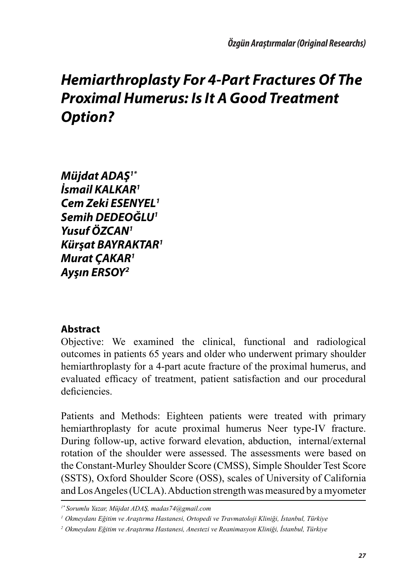*Müjdat ADAŞ1\* İsmail KALKAR1 Cem Zeki ESENYEL1 Semih DEDEOĞLU1 Yusuf ÖZCAN1 Kürşat BAYRAKTAR1 Murat ÇAKAR1 Ayşın ERSOY2*

#### **Abstract**

Objective: We examined the clinical, functional and radiological outcomes in patients 65 years and older who underwent primary shoulder hemiarthroplasty for a 4-part acute fracture of the proximal humerus, and evaluated efficacy of treatment, patient satisfaction and our procedural deficiencies.

Patients and Methods: Eighteen patients were treated with primary hemiarthroplasty for acute proximal humerus Neer type-IV fracture. During follow-up, active forward elevation, abduction, internal/external rotation of the shoulder were assessed. The assessments were based on the Constant-Murley Shoulder Score (CMSS), Simple Shoulder Test Score (SSTS), Oxford Shoulder Score (OSS), scales of University of California and Los Angeles (UCLA). Abduction strength was measured by a myometer

*<sup>1\*</sup> Sorumlu Yazar, Müjdat ADAŞ, madas74@gmail.com*

*<sup>1</sup> Okmeydanı Eğitim ve Araştırma Hastanesi, Ortopedi ve Travmatoloji Kliniği, İstanbul, Türkiye*

*<sup>2</sup> Okmeydanı Eğitim ve Araştırma Hastanesi, Anestezi ve Reanimasyon Kliniği, İstanbul, Türkiye*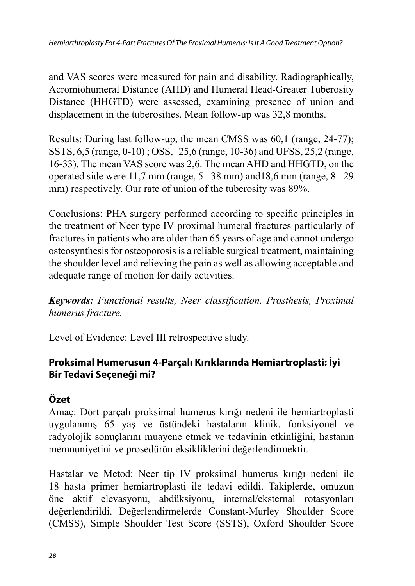and VAS scores were measured for pain and disability. Radiographically, Acromiohumeral Distance (AHD) and Humeral Head-Greater Tuberosity Distance (HHGTD) were assessed, examining presence of union and displacement in the tuberosities. Mean follow-up was 32,8 months.

Results: During last follow-up, the mean CMSS was 60,1 (range, 24-77); SSTS, 6,5 (range, 0-10) ; OSS, 25,6 (range, 10-36) and UFSS, 25,2 (range, 16-33). The mean VAS score was 2,6. The mean AHD and HHGTD, on the operated side were 11,7 mm (range, 5– 38 mm) and18,6 mm (range, 8– 29 mm) respectively. Our rate of union of the tuberosity was  $89\%$ .

Conclusions: PHA surgery performed according to specific principles in the treatment of Neer type IV proximal humeral fractures particularly of fractures in patients who are older than 65 years of age and cannot undergo osteosynthesis for osteoporosis is a reliable surgical treatment, maintaining the shoulder level and relieving the pain as well as allowing acceptable and adequate range of motion for daily activities.

*Keywords: Functional results, Neer classification, Prosthesis, Proximal humerus fracture.*

Level of Evidence: Level III retrospective study.

## **Proksimal Humerusun 4-Parçalı Kırıklarında Hemiartroplasti: İyi Bir Tedavi Seçeneği mi?**

## **Özet**

Amaç: Dört parçalı proksimal humerus kırığı nedeni ile hemiartroplasti uygulanmış 65 yaş ve üstündeki hastaların klinik, fonksiyonel ve radyolojik sonuçlarını muayene etmek ve tedavinin etkinliğini, hastanın memnuniyetini ve prosedürün eksikliklerini değerlendirmektir.

Hastalar ve Metod: Neer tip IV proksimal humerus kırığı nedeni ile 18 hasta primer hemiartroplasti ile tedavi edildi. Takiplerde, omuzun öne aktif elevasyonu, abdüksiyonu, internal/eksternal rotasyonları değerlendirildi. Değerlendirmelerde Constant-Murley Shoulder Score (CMSS), Simple Shoulder Test Score (SSTS), Oxford Shoulder Score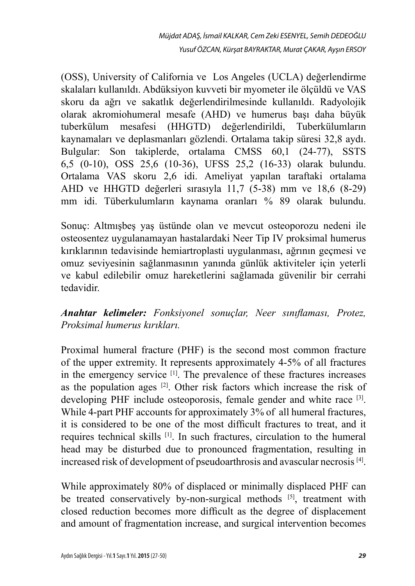(OSS), University of California ve Los Angeles (UCLA) değerlendirme skalaları kullanıldı. Abdüksiyon kuvveti bir myometer ile ölçüldü ve VAS skoru da ağrı ve sakatlık değerlendirilmesinde kullanıldı. Radyolojik olarak akromiohumeral mesafe (AHD) ve humerus başı daha büyük tuberkülum mesafesi (HHGTD) değerlendirildi, Tuberkülumların kaynamaları ve deplasmanları gözlendi. Ortalama takip süresi 32,8 aydı. Bulgular: Son takiplerde, ortalama CMSS 60,1 (24-77), SSTS 6,5 (0-10), OSS 25,6 (10-36), UFSS 25,2 (16-33) olarak bulundu. Ortalama VAS skoru 2,6 idi. Ameliyat yapılan taraftaki ortalama AHD ve HHGTD değerleri sırasıyla 11,7 (5-38) mm ve 18,6 (8-29) mm idi. Tüberkulumların kaynama oranları % 89 olarak bulundu.

Sonuç: Altmışbeş yaş üstünde olan ve mevcut osteoporozu nedeni ile osteosentez uygulanamayan hastalardaki Neer Tip IV proksimal humerus kırıklarının tedavisinde hemiartroplasti uygulanması, ağrının geçmesi ve omuz seviyesinin sağlanmasının yanında günlük aktiviteler için yeterli ve kabul edilebilir omuz hareketlerini sağlamada güvenilir bir cerrahi tedavidir.

#### *Anahtar kelimeler: Fonksiyonel sonuçlar, Neer sınıflaması, Protez, Proksimal humerus kırıkları.*

Proximal humeral fracture (PHF) is the second most common fracture of the upper extremity. It represents approximately 4-5% of all fractures in the emergency service [1]. The prevalence of these fractures increases as the population ages  $[2]$ . Other risk factors which increase the risk of developing PHF include osteoporosis, female gender and white race [3]. While 4-part PHF accounts for approximately 3% of all humeral fractures, it is considered to be one of the most difficult fractures to treat, and it requires technical skills [1]. In such fractures, circulation to the humeral head may be disturbed due to pronounced fragmentation, resulting in increased risk of development of pseudoarthrosis and avascular necrosis [4].

While approximately 80% of displaced or minimally displaced PHF can be treated conservatively by-non-surgical methods [5], treatment with closed reduction becomes more difficult as the degree of displacement and amount of fragmentation increase, and surgical intervention becomes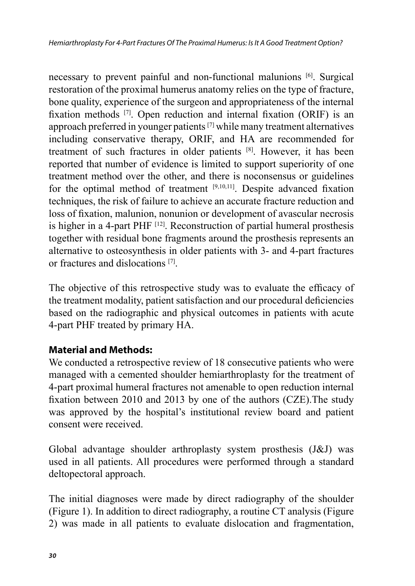necessary to prevent painful and non-functional malunions [6]. Surgical restoration of the proximal humerus anatomy relies on the type of fracture, bone quality, experience of the surgeon and appropriateness of the internal fixation methods [7]. Open reduction and internal fixation (ORIF) is an approach preferred in younger patients [7] while many treatment alternatives including conservative therapy, ORIF, and HA are recommended for treatment of such fractures in older patients [8]. However, it has been reported that number of evidence is limited to support superiority of one treatment method over the other, and there is noconsensus or guidelines for the optimal method of treatment [9,10,11]. Despite advanced fixation techniques, the risk of failure to achieve an accurate fracture reduction and loss of fixation, malunion, nonunion or development of avascular necrosis is higher in a 4-part PHF [12]. Reconstruction of partial humeral prosthesis together with residual bone fragments around the prosthesis represents an alternative to osteosynthesis in older patients with 3- and 4-part fractures or fractures and dislocations [7].

The objective of this retrospective study was to evaluate the efficacy of the treatment modality, patient satisfaction and our procedural deficiencies based on the radiographic and physical outcomes in patients with acute 4-part PHF treated by primary HA.

## **Material and Methods:**

We conducted a retrospective review of 18 consecutive patients who were managed with a cemented shoulder hemiarthroplasty for the treatment of 4-part proximal humeral fractures not amenable to open reduction internal fixation between 2010 and 2013 by one of the authors (CZE).The study was approved by the hospital's institutional review board and patient consent were received.

Global advantage shoulder arthroplasty system prosthesis (J&J) was used in all patients. All procedures were performed through a standard deltopectoral approach.

The initial diagnoses were made by direct radiography of the shoulder (Figure 1). In addition to direct radiography, a routine CT analysis (Figure 2) was made in all patients to evaluate dislocation and fragmentation,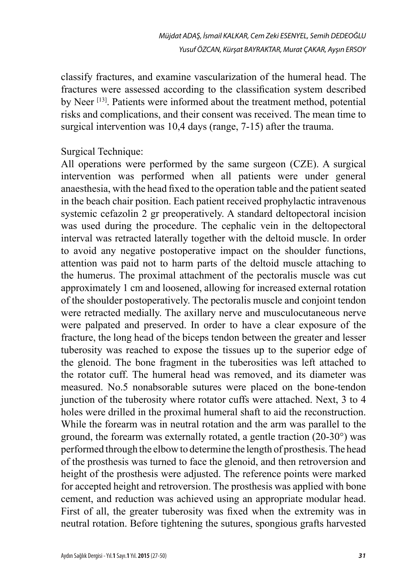classify fractures, and examine vascularization of the humeral head. The fractures were assessed according to the classification system described by Neer<sup>[13]</sup>. Patients were informed about the treatment method, potential risks and complications, and their consent was received. The mean time to surgical intervention was 10,4 days (range, 7-15) after the trauma.

Surgical Technique:

All operations were performed by the same surgeon (CZE). A surgical intervention was performed when all patients were under general anaesthesia, with the head fixed to the operation table and the patient seated in the beach chair position. Each patient received prophylactic intravenous systemic cefazolin 2 gr preoperatively. A standard deltopectoral incision was used during the procedure. The cephalic vein in the deltopectoral interval was retracted laterally together with the deltoid muscle. In order to avoid any negative postoperative impact on the shoulder functions, attention was paid not to harm parts of the deltoid muscle attaching to the humerus. The proximal attachment of the pectoralis muscle was cut approximately 1 cm and loosened, allowing for increased external rotation of the shoulder postoperatively. The pectoralis muscle and conjoint tendon were retracted medially. The axillary nerve and musculocutaneous nerve were palpated and preserved. In order to have a clear exposure of the fracture, the long head of the biceps tendon between the greater and lesser tuberosity was reached to expose the tissues up to the superior edge of the glenoid. The bone fragment in the tuberosities was left attached to the rotator cuff. The humeral head was removed, and its diameter was measured. No.5 nonabsorable sutures were placed on the bone-tendon junction of the tuberosity where rotator cuffs were attached. Next, 3 to 4 holes were drilled in the proximal humeral shaft to aid the reconstruction. While the forearm was in neutral rotation and the arm was parallel to the ground, the forearm was externally rotated, a gentle traction (20-30°) was performed through the elbow to determine the length of prosthesis. The head of the prosthesis was turned to face the glenoid, and then retroversion and height of the prosthesis were adjusted. The reference points were marked for accepted height and retroversion. The prosthesis was applied with bone cement, and reduction was achieved using an appropriate modular head. First of all, the greater tuberosity was fixed when the extremity was in neutral rotation. Before tightening the sutures, spongious grafts harvested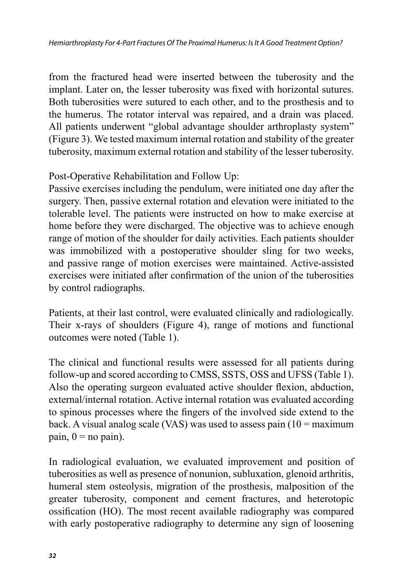from the fractured head were inserted between the tuberosity and the implant. Later on, the lesser tuberosity was fixed with horizontal sutures. Both tuberosities were sutured to each other, and to the prosthesis and to the humerus. The rotator interval was repaired, and a drain was placed. All patients underwent "global advantage shoulder arthroplasty system" (Figure 3). We tested maximum internal rotation and stability of the greater tuberosity, maximum external rotation and stability of the lesser tuberosity.

### Post-Operative Rehabilitation and Follow Up:

Passive exercises including the pendulum, were initiated one day after the surgery. Then, passive external rotation and elevation were initiated to the tolerable level. The patients were instructed on how to make exercise at home before they were discharged. The objective was to achieve enough range of motion of the shoulder for daily activities. Each patients shoulder was immobilized with a postoperative shoulder sling for two weeks, and passive range of motion exercises were maintained. Active-assisted exercises were initiated after confirmation of the union of the tuberosities by control radiographs.

Patients, at their last control, were evaluated clinically and radiologically. Their x-rays of shoulders (Figure 4), range of motions and functional outcomes were noted (Table 1).

The clinical and functional results were assessed for all patients during follow-up and scored according to CMSS, SSTS, OSS and UFSS (Table 1). Also the operating surgeon evaluated active shoulder flexion, abduction, external/internal rotation. Active internal rotation was evaluated according to spinous processes where the fingers of the involved side extend to the back. A visual analog scale (VAS) was used to assess pain  $(10 = \text{maximum})$ pain,  $0 = no$  pain).

In radiological evaluation, we evaluated improvement and position of tuberosities as well as presence of nonunion, subluxation, glenoid arthritis, humeral stem osteolysis, migration of the prosthesis, malposition of the greater tuberosity, component and cement fractures, and heterotopic ossification (HO). The most recent available radiography was compared with early postoperative radiography to determine any sign of loosening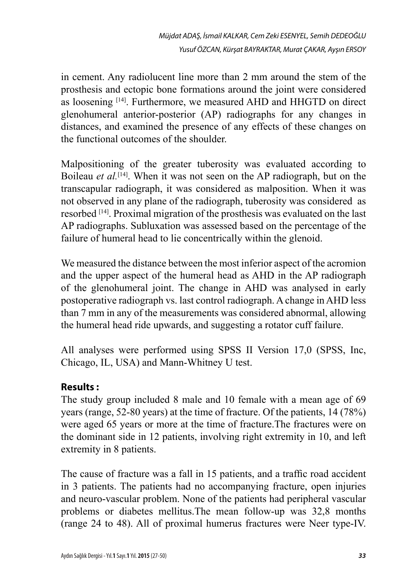in cement. Any radiolucent line more than 2 mm around the stem of the prosthesis and ectopic bone formations around the joint were considered as loosening [14]. Furthermore, we measured AHD and HHGTD on direct glenohumeral anterior-posterior (AP) radiographs for any changes in distances, and examined the presence of any effects of these changes on the functional outcomes of the shoulder.

Malpositioning of the greater tuberosity was evaluated according to Boileau *et al.*[14]. When it was not seen on the AP radiograph, but on the transcapular radiograph, it was considered as malposition. When it was not observed in any plane of the radiograph, tuberosity was considered as resorbed [14]. Proximal migration of the prosthesis was evaluated on the last AP radiographs. Subluxation was assessed based on the percentage of the failure of humeral head to lie concentrically within the glenoid.

We measured the distance between the most inferior aspect of the acromion and the upper aspect of the humeral head as AHD in the AP radiograph of the glenohumeral joint. The change in AHD was analysed in early postoperative radiograph vs. last control radiograph. A change in AHD less than 7 mm in any of the measurements was considered abnormal, allowing the humeral head ride upwards, and suggesting a rotator cuff failure.

All analyses were performed using SPSS II Version 17,0 (SPSS, Inc, Chicago, IL, USA) and Mann-Whitney U test.

## **Results :**

The study group included 8 male and 10 female with a mean age of 69 years (range, 52-80 years) at the time of fracture. Of the patients, 14 (78%) were aged 65 years or more at the time of fracture.The fractures were on the dominant side in 12 patients, involving right extremity in 10, and left extremity in 8 patients.

The cause of fracture was a fall in 15 patients, and a traffic road accident in 3 patients. The patients had no accompanying fracture, open injuries and neuro-vascular problem. None of the patients had peripheral vascular problems or diabetes mellitus.The mean follow-up was 32,8 months (range 24 to 48). All of proximal humerus fractures were Neer type-IV.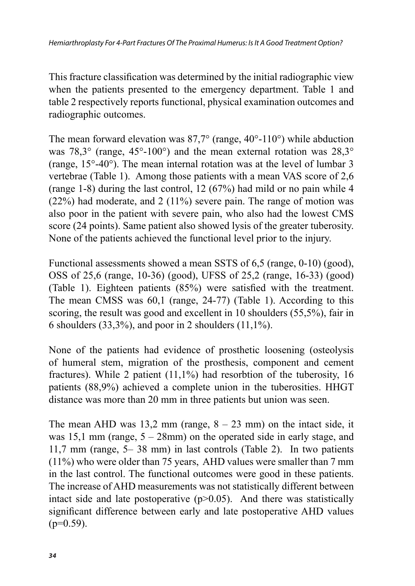This fracture classification was determined by the initial radiographic view when the patients presented to the emergency department. Table 1 and table 2 respectively reports functional, physical examination outcomes and radiographic outcomes.

The mean forward elevation was  $87.7^{\circ}$  (range,  $40^{\circ}$ -110°) while abduction was 78,3° (range, 45°-100°) and the mean external rotation was 28,3° (range, 15°-40°). The mean internal rotation was at the level of lumbar 3 vertebrae (Table 1). Among those patients with a mean VAS score of 2,6 (range 1-8) during the last control, 12 (67%) had mild or no pain while 4 (22%) had moderate, and 2 (11%) severe pain. The range of motion was also poor in the patient with severe pain, who also had the lowest CMS score (24 points). Same patient also showed lysis of the greater tuberosity. None of the patients achieved the functional level prior to the injury.

Functional assessments showed a mean SSTS of 6,5 (range, 0-10) (good), OSS of 25,6 (range, 10-36) (good), UFSS of 25,2 (range, 16-33) (good) (Table 1). Eighteen patients (85%) were satisfied with the treatment. The mean CMSS was 60,1 (range, 24-77) (Table 1). According to this scoring, the result was good and excellent in 10 shoulders (55,5%), fair in 6 shoulders  $(33,3\%)$ , and poor in 2 shoulders  $(11,1\%)$ .

None of the patients had evidence of prosthetic loosening (osteolysis of humeral stem, migration of the prosthesis, component and cement fractures). While 2 patient (11,1%) had resorbtion of the tuberosity, 16 patients (88,9%) achieved a complete union in the tuberosities. HHGT distance was more than 20 mm in three patients but union was seen.

The mean AHD was  $13.2$  mm (range,  $8 - 23$  mm) on the intact side, it was 15,1 mm (range,  $5 - 28$ mm) on the operated side in early stage, and 11,7 mm (range, 5– 38 mm) in last controls (Table 2). In two patients (11%) who were older than 75 years, AHD values were smaller than 7 mm in the last control. The functional outcomes were good in these patients. The increase of AHD measurements was not statistically different between intact side and late postoperative  $(p>0.05)$ . And there was statistically significant difference between early and late postoperative AHD values  $(p=0.59)$ .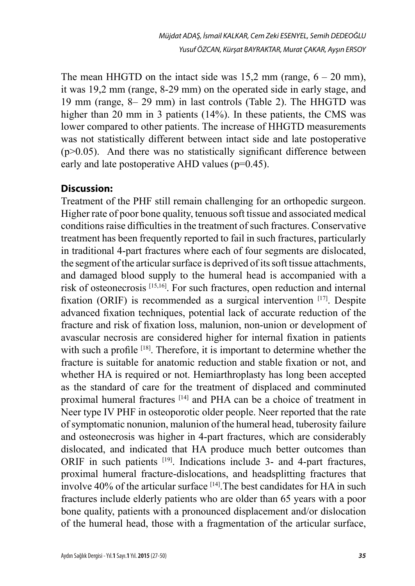The mean HHGTD on the intact side was  $15.2$  mm (range,  $6 - 20$  mm), it was 19,2 mm (range, 8-29 mm) on the operated side in early stage, and 19 mm (range, 8– 29 mm) in last controls (Table 2). The HHGTD was higher than 20 mm in 3 patients (14%). In these patients, the CMS was lower compared to other patients. The increase of HHGTD measurements was not statistically different between intact side and late postoperative  $(p>0.05)$ . And there was no statistically significant difference between early and late postoperative AHD values (p=0.45).

#### **Discussion:**

Treatment of the PHF still remain challenging for an orthopedic surgeon. Higher rate of poor bone quality, tenuous soft tissue and associated medical conditions raise difficulties in the treatment of such fractures. Conservative treatment has been frequently reported to fail in such fractures, particularly in traditional 4-part fractures where each of four segments are dislocated, the segment of the articular surface is deprived of its soft tissue attachments, and damaged blood supply to the humeral head is accompanied with a risk of osteonecrosis [15,16]. For such fractures, open reduction and internal fixation (ORIF) is recommended as a surgical intervention [17]. Despite advanced fixation techniques, potential lack of accurate reduction of the fracture and risk of fixation loss, malunion, non-union or development of avascular necrosis are considered higher for internal fixation in patients with such a profile <sup>[18]</sup>. Therefore, it is important to determine whether the fracture is suitable for anatomic reduction and stable fixation or not, and whether HA is required or not. Hemiarthroplasty has long been accepted as the standard of care for the treatment of displaced and comminuted proximal humeral fractures [14] and PHA can be a choice of treatment in Neer type IV PHF in osteoporotic older people. Neer reported that the rate of symptomatic nonunion, malunion of the humeral head, tuberosity failure and osteonecrosis was higher in 4-part fractures, which are considerably dislocated, and indicated that HA produce much better outcomes than ORIF in such patients <sup>[19]</sup>. Indications include 3- and 4-part fractures, proximal humeral fracture-dislocations, and headsplitting fractures that involve 40% of the articular surface [14]. The best candidates for HA in such fractures include elderly patients who are older than 65 years with a poor bone quality, patients with a pronounced displacement and/or dislocation of the humeral head, those with a fragmentation of the articular surface,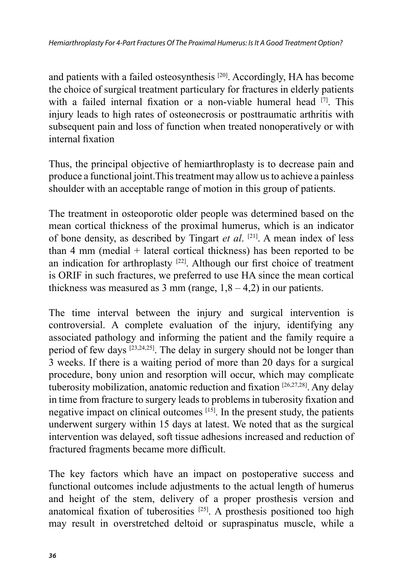and patients with a failed osteosynthesis [20]. Accordingly, HA has become the choice of surgical treatment particulary for fractures in elderly patients with a failed internal fixation or a non-viable humeral head  $[7]$ . This injury leads to high rates of osteonecrosis or posttraumatic arthritis with subsequent pain and loss of function when treated nonoperatively or with internal fixation

Thus, the principal objective of hemiarthroplasty is to decrease pain and produce a functional joint.This treatment may allow us to achieve a painless shoulder with an acceptable range of motion in this group of patients.

The treatment in osteoporotic older people was determined based on the mean cortical thickness of the proximal humerus, which is an indicator of bone density, as described by Tingart *et al*. [21]. A mean index of less than 4 mm (medial + lateral cortical thickness) has been reported to be an indication for arthroplasty [22]. Although our first choice of treatment is ORIF in such fractures, we preferred to use HA since the mean cortical thickness was measured as  $3 \text{ mm}$  (range,  $1,8 - 4,2$ ) in our patients.

The time interval between the injury and surgical intervention is controversial. A complete evaluation of the injury, identifying any associated pathology and informing the patient and the family require a period of few days [23,24,25]. The delay in surgery should not be longer than 3 weeks. If there is a waiting period of more than 20 days for a surgical procedure, bony union and resorption will occur, which may complicate tuberosity mobilization, anatomic reduction and fixation [26,27,28]. Any delay in time from fracture to surgery leads to problems in tuberosity fixation and negative impact on clinical outcomes [15]. In the present study, the patients underwent surgery within 15 days at latest. We noted that as the surgical intervention was delayed, soft tissue adhesions increased and reduction of fractured fragments became more difficult.

The key factors which have an impact on postoperative success and functional outcomes include adjustments to the actual length of humerus and height of the stem, delivery of a proper prosthesis version and anatomical fixation of tuberosities [25]. A prosthesis positioned too high may result in overstretched deltoid or supraspinatus muscle, while a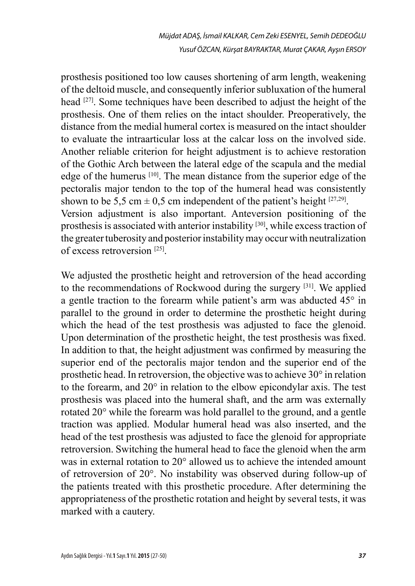prosthesis positioned too low causes shortening of arm length, weakening of the deltoid muscle, and consequently inferior subluxation of the humeral head [27]. Some techniques have been described to adjust the height of the prosthesis. One of them relies on the intact shoulder. Preoperatively, the distance from the medial humeral cortex is measured on the intact shoulder to evaluate the intraarticular loss at the calcar loss on the involved side. Another reliable criterion for height adjustment is to achieve restoration of the Gothic Arch between the lateral edge of the scapula and the medial edge of the humerus [10]. The mean distance from the superior edge of the pectoralis major tendon to the top of the humeral head was consistently shown to be 5,5 cm  $\pm$  0,5 cm independent of the patient's height [27,29]. Version adjustment is also important. Anteversion positioning of the prosthesis is associated with anterior instability [30], while excess traction of the greater tuberosity and posterior instability may occur with neutralization of excess retroversion [25].

We adjusted the prosthetic height and retroversion of the head according to the recommendations of Rockwood during the surgery [31]. We applied a gentle traction to the forearm while patient's arm was abducted 45° in parallel to the ground in order to determine the prosthetic height during which the head of the test prosthesis was adjusted to face the glenoid. Upon determination of the prosthetic height, the test prosthesis was fixed. In addition to that, the height adjustment was confirmed by measuring the superior end of the pectoralis major tendon and the superior end of the prosthetic head. In retroversion, the objective was to achieve 30° in relation to the forearm, and 20° in relation to the elbow epicondylar axis. The test prosthesis was placed into the humeral shaft, and the arm was externally rotated 20° while the forearm was hold parallel to the ground, and a gentle traction was applied. Modular humeral head was also inserted, and the head of the test prosthesis was adjusted to face the glenoid for appropriate retroversion. Switching the humeral head to face the glenoid when the arm was in external rotation to 20° allowed us to achieve the intended amount of retroversion of 20°. No instability was observed during follow-up of the patients treated with this prosthetic procedure. After determining the appropriateness of the prosthetic rotation and height by several tests, it was marked with a cautery.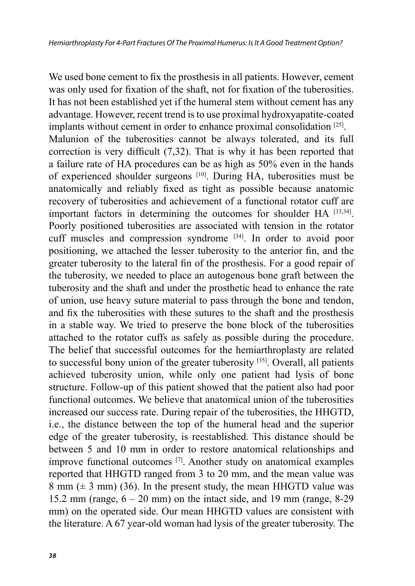We used bone cement to fix the prosthesis in all patients. However, cement was only used for fixation of the shaft, not for fixation of the tuberosities. It has not been established yet if the humeral stem without cement has any advantage. However, recent trend is to use proximal hydroxyapatite*-*coated implants without cement in order to enhance proximal consolidation [25]. Malunion of the tuberosities cannot be always tolerated, and its full correction is very difficult (7,32). That is why it has been reported that a failure rate of HA procedures can be as high as 50% even in the hands of experienced shoulder surgeons [10]. During HA, tuberosities must be anatomically and reliably fixed as tight as possible because anatomic recovery of tuberosities and achievement of a functional rotator cuff are important factors in determining the outcomes for shoulder HA [33,34]. Poorly positioned tuberosities are associated with tension in the rotator cuff muscles and compression syndrome [34]. In order to avoid poor positioning, we attached the lesser tuberosity to the anterior fin, and the greater tuberosity to the lateral fin of the prosthesis. For a good repair of the tuberosity, we needed to place an autogenous bone graft between the tuberosity and the shaft and under the prosthetic head to enhance the rate of union, use heavy suture material to pass through the bone and tendon, and fix the tuberosities with these sutures to the shaft and the prosthesis in a stable way. We tried to preserve the bone block of the tuberosities attached to the rotator cuffs as safely as possible during the procedure. The belief that successful outcomes for the hemiarthroplasty are related to successful bony union of the greater tuberosity [35]. Overall, all patients achieved tuberosity union, while only one patient had lysis of bone structure. Follow-up of this patient showed that the patient also had poor functional outcomes. We believe that anatomical union of the tuberosities increased our success rate. During repair of the tuberosities, the HHGTD, i.e., the distance between the top of the humeral head and the superior edge of the greater tuberosity, is reestablished. This distance should be between 5 and 10 mm in order to restore anatomical relationships and improve functional outcomes [7]. Another study on anatomical examples reported that HHGTD ranged from 3 to 20 mm, and the mean value was 8 mm  $(\pm 3$  mm) (36). In the present study, the mean HHGTD value was 15.2 mm (range,  $6 - 20$  mm) on the intact side, and 19 mm (range, 8-29) mm) on the operated side. Our mean HHGTD values are consistent with the literature. A 67 year-old woman had lysis of the greater tuberosity. The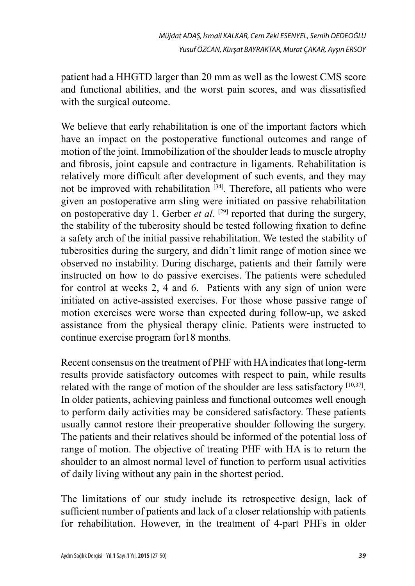patient had a HHGTD larger than 20 mm as well as the lowest CMS score and functional abilities, and the worst pain scores, and was dissatisfied with the surgical outcome.

We believe that early rehabilitation is one of the important factors which have an impact on the postoperative functional outcomes and range of motion of the joint. Immobilization of the shoulder leads to muscle atrophy and fibrosis, joint capsule and contracture in ligaments. Rehabilitation is relatively more difficult after development of such events, and they may not be improved with rehabilitation <sup>[34]</sup>. Therefore, all patients who were given an postoperative arm sling were initiated on passive rehabilitation on postoperative day 1. Gerber *et al.*  $[29]$  reported that during the surgery, the stability of the tuberosity should be tested following fixation to define a safety arch of the initial passive rehabilitation. We tested the stability of tuberosities during the surgery, and didn't limit range of motion since we observed no instability. During discharge, patients and their family were instructed on how to do passive exercises. The patients were scheduled for control at weeks 2, 4 and 6. Patients with any sign of union were initiated on active-assisted exercises. For those whose passive range of motion exercises were worse than expected during follow-up, we asked assistance from the physical therapy clinic. Patients were instructed to continue exercise program for18 months.

Recent consensus on the treatment of PHF with HA indicates that long-term results provide satisfactory outcomes with respect to pain, while results related with the range of motion of the shoulder are less satisfactory [10,37]. In older patients, achieving painless and functional outcomes well enough to perform daily activities may be considered satisfactory. These patients usually cannot restore their preoperative shoulder following the surgery. The patients and their relatives should be informed of the potential loss of range of motion. The objective of treating PHF with HA is to return the shoulder to an almost normal level of function to perform usual activities of daily living without any pain in the shortest period.

The limitations of our study include its retrospective design, lack of sufficient number of patients and lack of a closer relationship with patients for rehabilitation. However, in the treatment of 4-part PHFs in older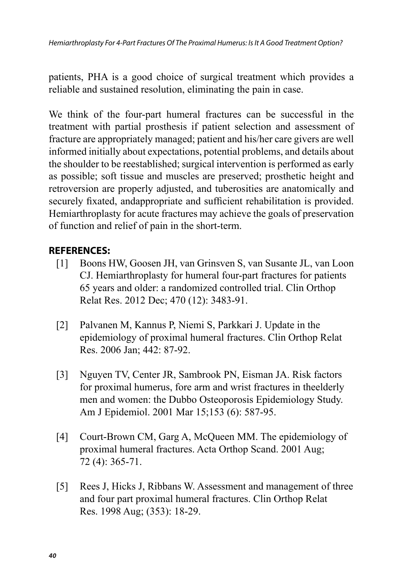patients, PHA is a good choice of surgical treatment which provides a reliable and sustained resolution, eliminating the pain in case.

We think of the four-part humeral fractures can be successful in the treatment with partial prosthesis if patient selection and assessment of fracture are appropriately managed; patient and his/her care givers are well informed initially about expectations, potential problems, and details about the shoulder to be reestablished; surgical intervention is performed as early as possible; soft tissue and muscles are preserved; prosthetic height and retroversion are properly adjusted, and tuberosities are anatomically and securely fixated, andappropriate and sufficient rehabilitation is provided. Hemiarthroplasty for acute fractures may achieve the goals of preservation of function and relief of pain in the short-term.

#### **REFERENCES:**

- [1] Boons HW, Goosen JH, van Grinsven S, van Susante JL, van Loon CJ. Hemiarthroplasty for humeral four-part fractures for patients 65 years and older: a randomized controlled trial. Clin Orthop Relat Res. 2012 Dec; 470 (12): 3483-91.
- [2] Palvanen M, Kannus P, Niemi S, Parkkari J. Update in the epidemiology of proximal humeral fractures. Clin Orthop Relat Res. 2006 Jan; 442: 87-92.
- [3] Nguyen TV, Center JR, Sambrook PN, Eisman JA. Risk factors for proximal humerus, fore arm and wrist fractures in theelderly men and women: the Dubbo Osteoporosis Epidemiology Study. Am J Epidemiol. 2001 Mar 15;153 (6): 587-95.
- [4] Court-Brown CM, Garg A, McQueen MM. The epidemiology of proximal humeral fractures. Acta Orthop Scand. 2001 Aug; 72 (4): 365-71.
- [5] Rees J, Hicks J, Ribbans W. Assessment and management of three and four part proximal humeral fractures. Clin Orthop Relat Res. 1998 Aug; (353): 18-29.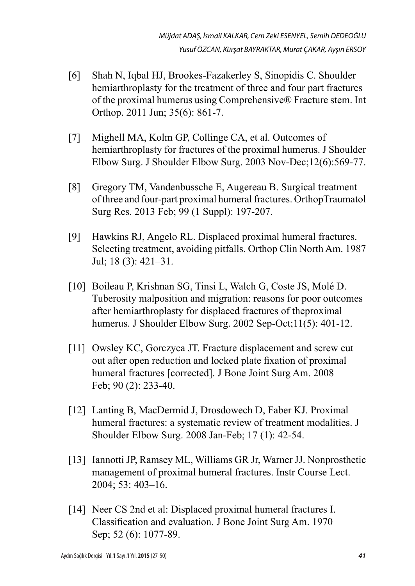- [6] Shah N, Iqbal HJ, Brookes-Fazakerley S, Sinopidis C. Shoulder hemiarthroplasty for the treatment of three and four part fractures of the proximal humerus using Comprehensive® Fracture stem. Int Orthop. 2011 Jun; 35(6): 861-7.
- [7] Mighell MA, Kolm GP, Collinge CA, et al. Outcomes of hemiarthroplasty for fractures of the proximal humerus. J Shoulder Elbow Surg. J Shoulder Elbow Surg. 2003 Nov-Dec;12(6):569-77.
- [8] Gregory TM, Vandenbussche E, Augereau B. Surgical treatment of three and four-part proximal humeral fractures. OrthopTraumatol Surg Res. 2013 Feb; 99 (1 Suppl): 197-207.
- [9] Hawkins RJ, Angelo RL. Displaced proximal humeral fractures. Selecting treatment, avoiding pitfalls. Orthop Clin North Am. 1987 Jul; 18 (3): 421–31.
- [10] Boileau P, Krishnan SG, Tinsi L, Walch G, Coste JS, Molé D. Tuberosity malposition and migration: reasons for poor outcomes after hemiarthroplasty for displaced fractures of theproximal humerus. J Shoulder Elbow Surg. 2002 Sep-Oct;11(5): 401-12.
- [11] Owsley KC, Gorczyca JT. Fracture displacement and screw cut out after open reduction and locked plate fixation of proximal humeral fractures [corrected]. J Bone Joint Surg Am. 2008 Feb; 90 (2): 233-40.
- [12] Lanting B, MacDermid J, Drosdowech D, Faber KJ. Proximal humeral fractures: a systematic review of treatment modalities. J Shoulder Elbow Surg. 2008 Jan-Feb; 17 (1): 42-54.
- [13] Iannotti JP, Ramsey ML, Williams GR Jr, Warner JJ. Nonprosthetic management of proximal humeral fractures. Instr Course Lect. 2004; 53: 403–16.
- [14] Neer CS 2nd et al: Displaced proximal humeral fractures I. Classification and evaluation. J Bone Joint Surg Am. 1970 Sep; 52 (6): 1077-89.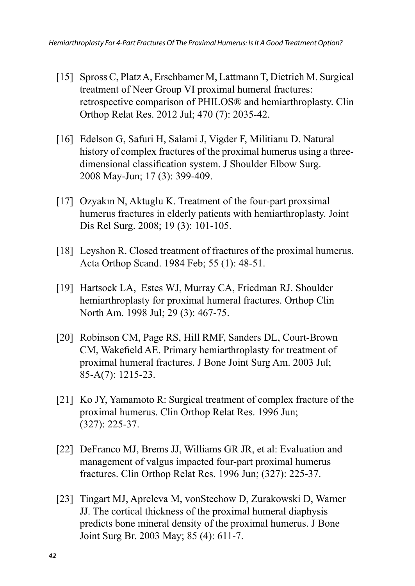- [15] Spross C, Platz A, Erschbamer M, Lattmann T, Dietrich M. Surgical treatment of Neer Group VI proximal humeral fractures: retrospective comparison of PHILOS® and hemiarthroplasty. Clin Orthop Relat Res. 2012 Jul; 470 (7): 2035-42.
- [16] Edelson G, Safuri H, Salami J, Vigder F, Militianu D. Natural history of complex fractures of the proximal humerus using a threedimensional classification system. J Shoulder Elbow Surg. 2008 May-Jun; 17 (3): 399-409.
- [17] Ozyakın N, Aktuglu K. Treatment of the four-part proxsimal humerus fractures in elderly patients with hemiarthroplasty. Joint Dis Rel Surg. 2008; 19 (3): 101-105.
- [18] Leyshon R. Closed treatment of fractures of the proximal humerus. Acta Orthop Scand. 1984 Feb; 55 (1): 48-51.
- [19] Hartsock LA, Estes WJ, Murray CA, Friedman RJ. Shoulder hemiarthroplasty for proximal humeral fractures. Orthop Clin North Am. 1998 Jul; 29 (3): 467-75.
- [20] Robinson CM, Page RS, Hill RMF, Sanders DL, Court-Brown CM, Wakefield AE. Primary hemiarthroplasty for treatment of proximal humeral fractures. J Bone Joint Surg Am. 2003 Jul; 85-A(7): 1215-23.
- [21] Ko JY, Yamamoto R: Surgical treatment of complex fracture of the proximal humerus. Clin Orthop Relat Res. 1996 Jun; (327): 225-37.
- [22] DeFranco MJ, Brems JJ, Williams GR JR, et al: Evaluation and management of valgus impacted four-part proximal humerus fractures. Clin Orthop Relat Res. 1996 Jun; (327): 225-37.
- [23] Tingart MJ, Apreleva M, vonStechow D, Zurakowski D, Warner JJ. The cortical thickness of the proximal humeral diaphysis predicts bone mineral density of the proximal humerus. J Bone Joint Surg Br. 2003 May; 85 (4): 611-7.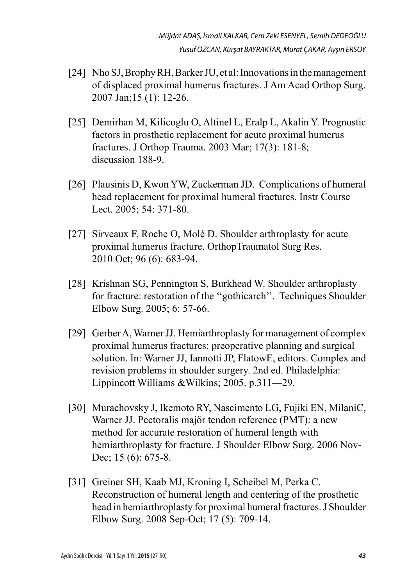- [24] Nho SJ, Brophy RH, Barker JU, et al: Innovations in the management of displaced proximal humerus fractures. J Am Acad Orthop Surg. 2007 Jan;15 (1): 12-26.
- [25] Demirhan M, Kilicoglu O, Altinel L, Eralp L, Akalin Y. Prognostic factors in prosthetic replacement for acute proximal humerus fractures. J Orthop Trauma. 2003 Mar; 17(3): 181-8; discussion 188-9.
- [26] Plausinis D, Kwon YW, Zuckerman JD. Complications of humeral head replacement for proximal humeral fractures. Instr Course Lect. 2005; 54: 371-80.
- [27] Sirveaux F, Roche O, Molé D. Shoulder arthroplasty for acute proximal humerus fracture. OrthopTraumatol Surg Res. 2010 Oct; 96 (6): 683-94.
- [28] Krishnan SG, Pennington S, Burkhead W. Shoulder arthroplasty for fracture: restoration of the ''gothicarch''. Techniques Shoulder Elbow Surg. 2005; 6: 57-66.
- [29] Gerber A, Warner JJ. Hemiarthroplasty for management of complex proximal humerus fractures: preoperative planning and surgical solution. In: Warner JJ, Iannotti JP, FlatowE, editors. Complex and revision problems in shoulder surgery. 2nd ed. Philadelphia: Lippincott Williams &Wilkins; 2005. p.311—29.
- [30] Murachovsky J, Ikemoto RY, Nascimento LG, Fujiki EN, MilaniC, Warner JJ. Pectoralis majör tendon reference (PMT): a new method for accurate restoration of humeral length with hemiarthroplasty for fracture. J Shoulder Elbow Surg. 2006 Nov-Dec; 15 (6): 675-8.
- [31] Greiner SH, Kaab MJ, Kroning I, Scheibel M, Perka C. Reconstruction of humeral length and centering of the prosthetic head in hemiarthroplasty for proximal humeral fractures. J Shoulder Elbow Surg. 2008 Sep-Oct; 17 (5): 709-14.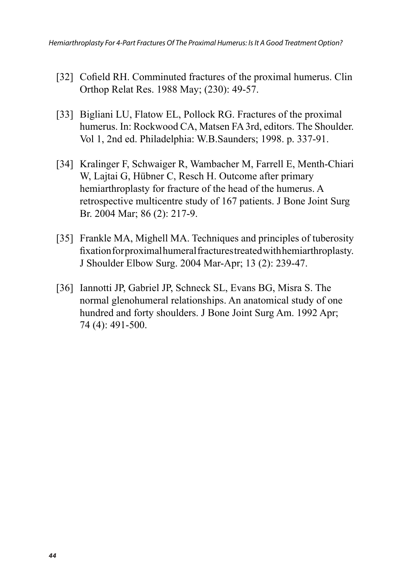- [32] Cofield RH. Comminuted fractures of the proximal humerus. Clin Orthop Relat Res. 1988 May; (230): 49-57.
- [33] Bigliani LU, Flatow EL, Pollock RG. Fractures of the proximal humerus. In: Rockwood CA, Matsen FA 3rd, editors. The Shoulder. Vol 1, 2nd ed. Philadelphia: W.B.Saunders; 1998. p. 337-91.
- [34] Kralinger F, Schwaiger R, Wambacher M, Farrell E, Menth-Chiari W, Lajtai G, Hübner C, Resch H. Outcome after primary hemiarthroplasty for fracture of the head of the humerus. A retrospective multicentre study of 167 patients. J Bone Joint Surg Br. 2004 Mar; 86 (2): 217-9.
- [35] Frankle MA, Mighell MA. Techniques and principles of tuberosity fixation for proximal humeral fractures treated with hemiarthroplasty. J Shoulder Elbow Surg. 2004 Mar-Apr; 13 (2): 239-47.
- [36] Iannotti JP, Gabriel JP, Schneck SL, Evans BG, Misra S. The normal glenohumeral relationships. An anatomical study of one hundred and forty shoulders. J Bone Joint Surg Am. 1992 Apr; 74 (4): 491-500.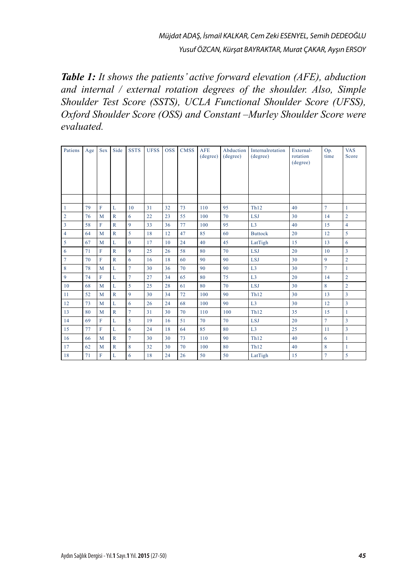*Table 1: It shows the patients' active forward elevation (AFE), abduction and internal / external rotation degrees of the shoulder. Also, Simple Shoulder Test Score (SSTS), UCLA Functional Shoulder Score (UFSS), Oxford Shoulder Score (OSS) and Constant –Murley Shoulder Score were evaluated.*

| Patiens        | Age | Sex | Side         | <b>SSTS</b>    | <b>UFSS</b> | <b>OSS</b> | <b>CMSS</b> | <b>AFE</b><br>(degree) | Abduction<br>(degree) | Internalrotation<br>(degree) | External-<br>rotation<br>(degree) | Op.<br>time    | <b>VAS</b><br>Score |
|----------------|-----|-----|--------------|----------------|-------------|------------|-------------|------------------------|-----------------------|------------------------------|-----------------------------------|----------------|---------------------|
|                |     |     |              |                |             |            |             |                        |                       |                              |                                   |                |                     |
| $\mathbf{1}$   | 79  | F   | L            | 10             | 31          | 32         | 73          | 110                    | 95                    | <b>Th12</b>                  | 40                                | $\overline{7}$ | $\mathbf{1}$        |
| $\overline{c}$ | 76  | M   | $\mathbb{R}$ | 6              | 22          | 23         | 55          | 100                    | 70                    | <b>LSJ</b>                   | 30                                | 14             | $\overline{2}$      |
| 3              | 58  | F   | $\mathbb{R}$ | $\overline{9}$ | 33          | 36         | 77          | 100                    | 95                    | L3                           | 40                                | 15             | $\overline{4}$      |
| $\overline{4}$ | 64  | M   | $\mathbb{R}$ | 5              | 18          | 12         | 47          | 85                     | 60                    | <b>Buttock</b>               | 20                                | 12             | 5                   |
| 5              | 67  | M   | L            | $\Omega$       | 17          | 10         | 24          | 40                     | 45                    | LatTigh                      | 15                                | 13             | 6                   |
| 6              | 71  | F   | $\mathbb{R}$ | $\overline{9}$ | 25          | 26         | 58          | 80                     | 70                    | <b>LSJ</b>                   | 20                                | 10             | $\overline{3}$      |
| $\overline{7}$ | 70  | F   | $\mathbb{R}$ | 6              | 16          | 18         | 60          | 90                     | 90                    | <b>LSJ</b>                   | 30                                | $\mathbf{Q}$   | $\overline{2}$      |
| 8              | 78  | M   | L            | $\overline{7}$ | 30          | 36         | 70          | 90                     | 90                    | L3                           | 30                                | $\tau$         | 1                   |
| $\overline{9}$ | 74  | F   | L            | $\overline{7}$ | 27          | 34         | 65          | 80                     | 75                    | L3                           | 20                                | 14             | $\overline{2}$      |
| 10             | 68  | M   | L            | 5              | 25          | 28         | 61          | 80                     | 70                    | <b>LSJ</b>                   | 30                                | 8              | $\overline{2}$      |
| 11             | 52  | M   | $\mathbb{R}$ | $\overline{9}$ | 30          | 34         | 72          | 100                    | 90                    | Th12                         | 30                                | 13             | 3                   |
| 12             | 73  | M   | L            | 6              | 26          | 24         | 68          | 100                    | 90                    | L3                           | 30                                | 12             | 3                   |
| 13             | 80  | M   | $\mathbb{R}$ | $\overline{7}$ | 31          | 30         | 70          | 110                    | 100                   | Th12                         | 35                                | 15             | $\mathbf{1}$        |
| 14             | 69  | F   | L            | 5              | 19          | 16         | 51          | 70                     | 70                    | <b>LSJ</b>                   | 20                                | $\tau$         | 3                   |
| 15             | 77  | F   | L            | 6              | 24          | 18         | 64          | 85                     | 80                    | L3                           | 25                                | 11             | $\overline{3}$      |
| 16             | 66  | M   | $\mathbb{R}$ | $\overline{7}$ | 30          | 30         | 73          | 110                    | 90                    | Th12                         | 40                                | 6              | $\mathbf{1}$        |
| 17             | 62  | M   | $\mathbb{R}$ | 8              | 32          | 30         | 70          | 100                    | 80                    | Th12                         | 40                                | 8              | $\mathbf{1}$        |
| 18             | 71  | F   | L            | 6              | 18          | 24         | 26          | 50                     | 50                    | LatTigh                      | 15                                | $\overline{7}$ | 5                   |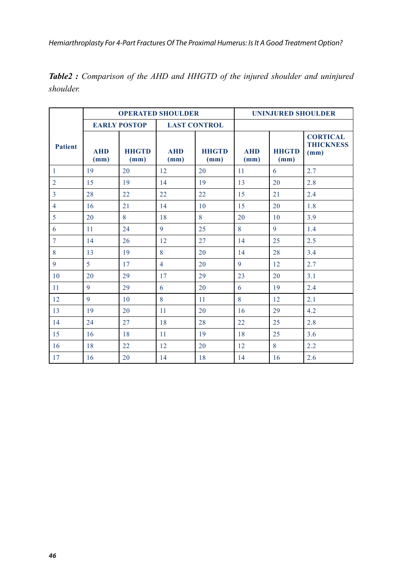|                |                    |                      | <b>OPERATED SHOULDER</b> | <b>UNINJURED SHOULDER</b> |                    |                      |                                             |  |
|----------------|--------------------|----------------------|--------------------------|---------------------------|--------------------|----------------------|---------------------------------------------|--|
|                |                    | <b>EARLY POSTOP</b>  |                          | <b>LAST CONTROL</b>       |                    |                      |                                             |  |
| <b>Patient</b> | <b>AHD</b><br>(mm) | <b>HHGTD</b><br>(mm) | <b>AHD</b><br>(mm)       | <b>HHGTD</b><br>(mm)      | <b>AHD</b><br>(mm) | <b>HHGTD</b><br>(mm) | <b>CORTICAL</b><br><b>THICKNESS</b><br>(mm) |  |
| $\mathbf{1}$   | 19                 | 20                   | 12                       | 20                        | 11                 | 6                    | 2.7                                         |  |
| $\overline{2}$ | 15                 | 19                   | 14                       | 19                        | 13                 | 20                   | 2.8                                         |  |
| 3              | 28                 | 22                   | 22                       | 22                        | 15                 | 21                   | 2.4                                         |  |
| $\overline{4}$ | 16                 | 21                   | 14                       | 10                        | 15                 | 20                   | 1.8                                         |  |
| 5              | 20                 | 8                    | 18                       | 8                         | 20                 | 10                   | 3.9                                         |  |
| 6              | 11                 | 24                   | 9                        | 25                        | 8                  | 9                    | 1.4                                         |  |
| $\overline{7}$ | 14                 | 26                   | 12                       | 27                        | 14                 | 25                   | 2.5                                         |  |
| 8              | 13                 | 19                   | 8                        | 20                        | 14                 | 28                   | 3.4                                         |  |
| 9              | 5                  | 17                   | $\overline{4}$           | 20                        | 9                  | 12                   | 2.7                                         |  |
| 10             | 20                 | 29                   | 17                       | 29                        | 23                 | 20                   | 3.1                                         |  |
| 11             | 9                  | 29                   | 6                        | 20                        | 6                  | 19                   | 2.4                                         |  |
| 12             | 9                  | 10                   | 8                        | 11                        | 8                  | 12                   | 2.1                                         |  |
| 13             | 19                 | 20                   | 11                       | 20                        | 16                 | 29                   | 4.2                                         |  |
| 14             | 24                 | 27                   | 18                       | 28                        | 22                 | 25                   | 2.8                                         |  |
| 15             | 16                 | 18                   | 11                       | 19                        | 18                 | 25                   | 3.6                                         |  |
| 16             | 18                 | 22                   | 12                       | 20                        | 12                 | 8                    | 2.2                                         |  |
| 17             | 16                 | 20                   | 14                       | 18                        | 14                 | 16                   | 2.6                                         |  |

*Table2 : Comparison of the AHD and HHGTD of the injured shoulder and uninjured shoulder.*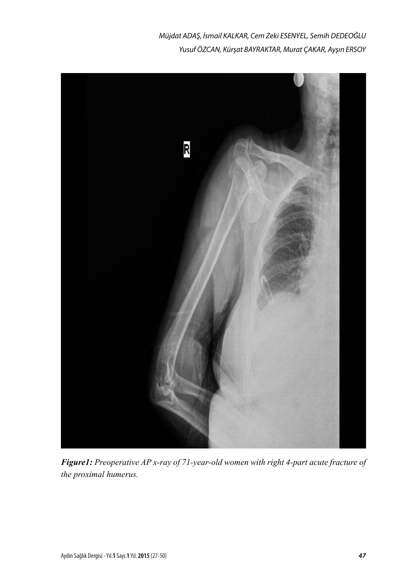*Müjdat ADAŞ, İsmail KALKAR, Cem Zeki ESENYEL, Semih DEDEOĞLU Yusuf ÖZCAN, Kürşat BAYRAKTAR, Murat ÇAKAR, Ayşın ERSOY*



*Figure1: Preoperative AP x-ray of 71-year-old women with right 4-part acute fracture of the proximal humerus.*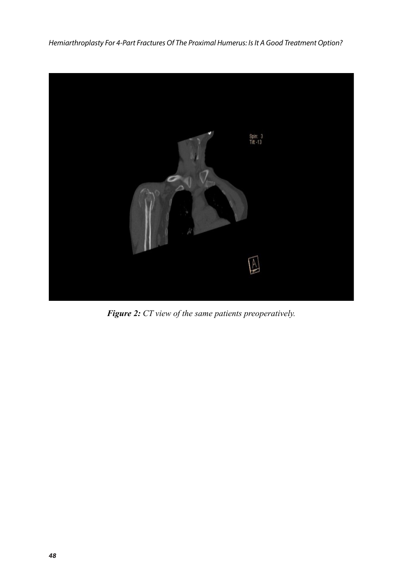

*Figure 2: CT view of the same patients preoperatively.*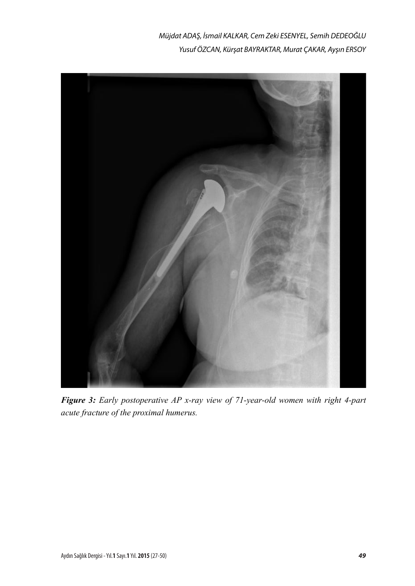*Müjdat ADAŞ, İsmail KALKAR, Cem Zeki ESENYEL, Semih DEDEOĞLU Yusuf ÖZCAN, Kürşat BAYRAKTAR, Murat ÇAKAR, Ayşın ERSOY*



*Figure 3: Early postoperative AP x-ray view of 71-year-old women with right 4-part acute fracture of the proximal humerus.*